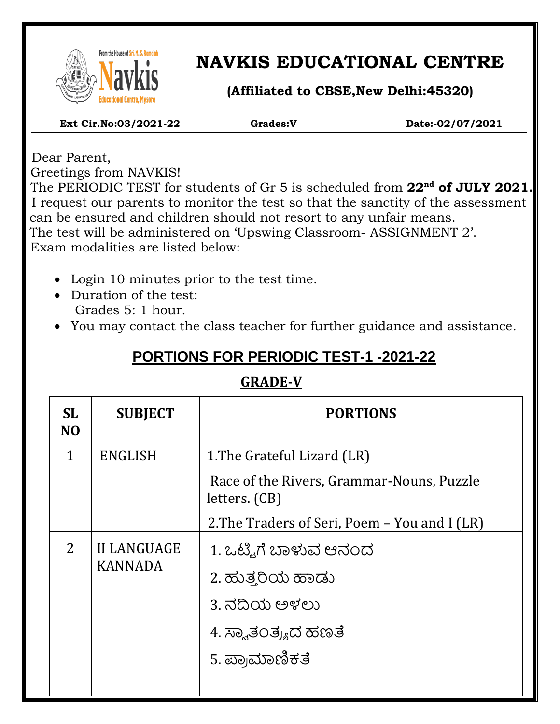

 $\overline{\phantom{a}}$ 

# **NAVKIS EDUCATIONAL CENTRE**

**(Affiliated to CBSE,New Delhi:45320)**

 **Ext Cir.No:03/2021-22 Grades:V Date:-02/07/2021**

 Dear Parent, Greetings from NAVKIS!

 The PERIODIC TEST for students of Gr 5 is scheduled from **22nd of JULY 2021.** I request our parents to monitor the test so that the sanctity of the assessment can be ensured and children should not resort to any unfair means. The test will be administered on 'Upswing Classroom- ASSIGNMENT 2'. Exam modalities are listed below:

- Login 10 minutes prior to the test time.
- Duration of the test: Grades 5: 1 hour.
- You may contact the class teacher for further guidance and assistance.

## **PORTIONS FOR PERIODIC TEST-1 -2021-22**

### **GRADE-V**

| <b>SL</b><br>N <sub>O</sub> | <b>SUBJECT</b>                       | <b>PORTIONS</b>                                            |  |
|-----------------------------|--------------------------------------|------------------------------------------------------------|--|
| 1                           | <b>ENGLISH</b>                       | 1. The Grateful Lizard (LR)                                |  |
|                             |                                      | Race of the Rivers, Grammar-Nouns, Puzzle<br>letters. (CB) |  |
|                             |                                      | 2. The Traders of Seri, Poem – You and I (LR)              |  |
| 2                           | <b>II LANGUAGE</b><br><b>KANNADA</b> | 1. ಒಟ್ಟಿಗೆ ಬಾಳುವ ಆನಂದ                                      |  |
|                             |                                      | 2. ಹುತ್ತರಿಯ ಹಾಡು                                           |  |
|                             |                                      | 3. ನದಿಯ ಅಳಲು                                               |  |
|                             |                                      | 4. ಸ್ಕಾತಂತ್ರ್ಯದ ಹಣತೆ                                       |  |
|                             |                                      | 5. ಪ್ರಾಮಾಣಿಕತೆ                                             |  |
|                             |                                      |                                                            |  |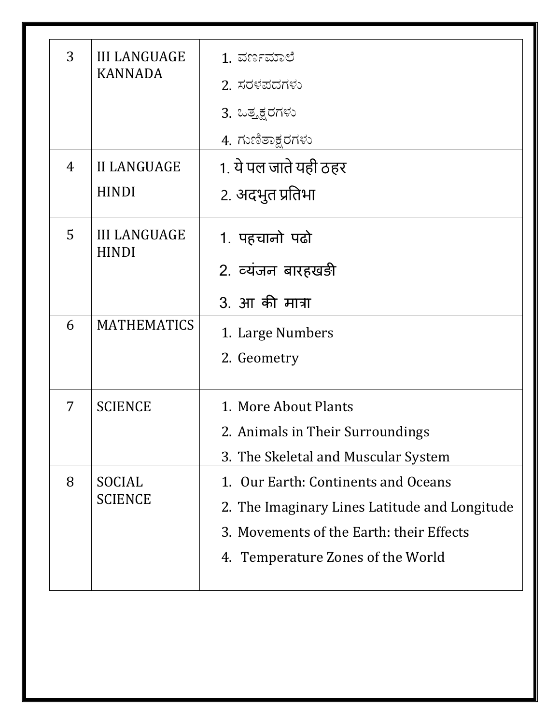| 3 | <b>III LANGUAGE</b><br><b>KANNADA</b> | 1. ವರ್ಣಮಾಲೆ                                   |  |
|---|---------------------------------------|-----------------------------------------------|--|
|   |                                       | 2. ಸರಳಪದಗಳು                                   |  |
|   |                                       | 3. ಒತ್ತಕ್ಷರಗಳು                                |  |
|   |                                       | 4. ಗುಣಿತಾಕ್ಷರಗಳು                              |  |
| 4 | <b>II LANGUAGE</b><br><b>HINDI</b>    | 1. ये पल जाते यही ठहर                         |  |
|   |                                       | 2. अदभुत प्रतिभा                              |  |
| 5 | <b>III LANGUAGE</b><br><b>HINDI</b>   | 1. पहचानो पढो                                 |  |
|   |                                       | 2. व्यंजन बारहखड़ी                            |  |
|   |                                       | 3. आ की मात्रा                                |  |
| 6 | <b>MATHEMATICS</b>                    | 1. Large Numbers                              |  |
|   |                                       | 2. Geometry                                   |  |
| 7 | <b>SCIENCE</b>                        | 1. More About Plants                          |  |
|   |                                       | 2. Animals in Their Surroundings              |  |
|   |                                       | 3. The Skeletal and Muscular System           |  |
| 8 | SOCIAL<br><b>SCIENCE</b>              | 1. Our Earth: Continents and Oceans           |  |
|   |                                       | 2. The Imaginary Lines Latitude and Longitude |  |
|   |                                       | 3. Movements of the Earth: their Effects      |  |
|   |                                       | 4. Temperature Zones of the World             |  |
|   |                                       |                                               |  |